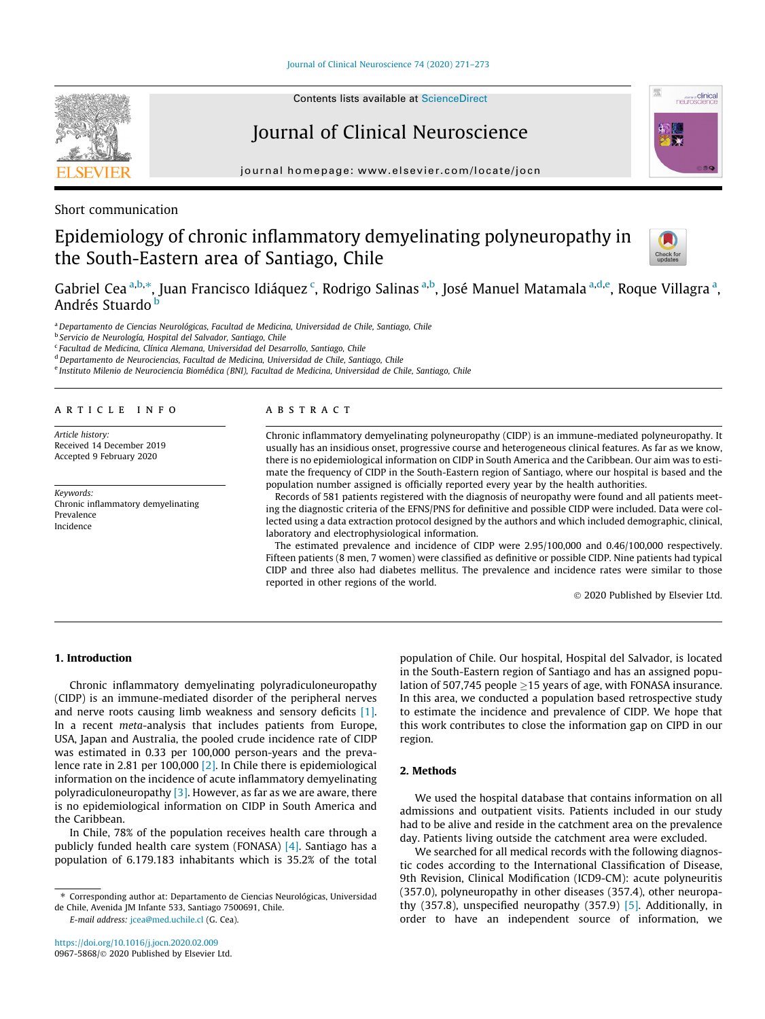

# Journal of Clinical Neuroscience

journal homepage: [www.elsevier.com/locate/jocn](http://www.elsevier.com/locate/jocn)

Short communication

# Epidemiology of chronic inflammatory demyelinating polyneuropathy in the South-Eastern area of Santiago, Chile



**Express Clinical**<br> **neuroscience** 

Gabriel Cea <sup>a,b,</sup>\*, Juan Francisco Idiáquez <sup>c</sup>, Rodrigo Salinas <sup>a,b</sup>, José Manuel Matamala <sup>a,d,e</sup>, Roque Villagra <sup>a</sup>, Andrés Stuardo <sup>b</sup>

<sup>a</sup> Departamento de Ciencias Neurológicas, Facultad de Medicina, Universidad de Chile, Santiago, Chile

<sup>b</sup> Servicio de Neurología, Hospital del Salvador, Santiago, Chile

<sup>c</sup> Facultad de Medicina, Clínica Alemana, Universidad del Desarrollo, Santiago, Chile

<sup>d</sup> Departamento de Neurociencias, Facultad de Medicina, Universidad de Chile, Santiago, Chile

<sup>e</sup> Instituto Milenio de Neurociencia Biomédica (BNI), Facultad de Medicina, Universidad de Chile, Santiago, Chile

#### article info

Article history: Received 14 December 2019 Accepted 9 February 2020

Keywords: Chronic inflammatory demyelinating Prevalence Incidence

### ABSTRACT

Chronic inflammatory demyelinating polyneuropathy (CIDP) is an immune-mediated polyneuropathy. It usually has an insidious onset, progressive course and heterogeneous clinical features. As far as we know, there is no epidemiological information on CIDP in South America and the Caribbean. Our aim was to estimate the frequency of CIDP in the South-Eastern region of Santiago, where our hospital is based and the population number assigned is officially reported every year by the health authorities.

Records of 581 patients registered with the diagnosis of neuropathy were found and all patients meeting the diagnostic criteria of the EFNS/PNS for definitive and possible CIDP were included. Data were collected using a data extraction protocol designed by the authors and which included demographic, clinical, laboratory and electrophysiological information.

The estimated prevalence and incidence of CIDP were 2.95/100,000 and 0.46/100,000 respectively. Fifteen patients (8 men, 7 women) were classified as definitive or possible CIDP. Nine patients had typical CIDP and three also had diabetes mellitus. The prevalence and incidence rates were similar to those reported in other regions of the world.

2020 Published by Elsevier Ltd.

### 1. Introduction

Chronic inflammatory demyelinating polyradiculoneuropathy (CIDP) is an immune-mediated disorder of the peripheral nerves and nerve roots causing limb weakness and sensory deficits [\[1\].](#page-1-0) In a recent meta-analysis that includes patients from Europe, USA, Japan and Australia, the pooled crude incidence rate of CIDP was estimated in 0.33 per 100,000 person-years and the prevalence rate in 2.81 per 100,000 [\[2\].](#page-1-0) In Chile there is epidemiological information on the incidence of acute inflammatory demyelinating polyradiculoneuropathy  $[3]$ . However, as far as we are aware, there is no epidemiological information on CIDP in South America and the Caribbean.

In Chile, 78% of the population receives health care through a publicly funded health care system (FONASA) [\[4\].](#page-2-0) Santiago has a population of 6.179.183 inhabitants which is 35.2% of the total

E-mail address: [jcea@med.uchile.cl](mailto:jcea@med.uchile.cl) (G. Cea).

population of Chile. Our hospital, Hospital del Salvador, is located in the South-Eastern region of Santiago and has an assigned population of 507,745 people  $\geq$ 15 years of age, with FONASA insurance. In this area, we conducted a population based retrospective study to estimate the incidence and prevalence of CIDP. We hope that this work contributes to close the information gap on CIPD in our region.

#### 2. Methods

We used the hospital database that contains information on all admissions and outpatient visits. Patients included in our study had to be alive and reside in the catchment area on the prevalence day. Patients living outside the catchment area were excluded.

We searched for all medical records with the following diagnostic codes according to the International Classification of Disease, 9th Revision, Clinical Modification (ICD9-CM): acute polyneuritis (357.0), polyneuropathy in other diseases (357.4), other neuropathy (357.8), unspecified neuropathy (357.9) [\[5\]](#page-2-0). Additionally, in order to have an independent source of information, we

<sup>⇑</sup> Corresponding author at: Departamento de Ciencias Neurológicas, Universidad de Chile, Avenida JM Infante 533, Santiago 7500691, Chile.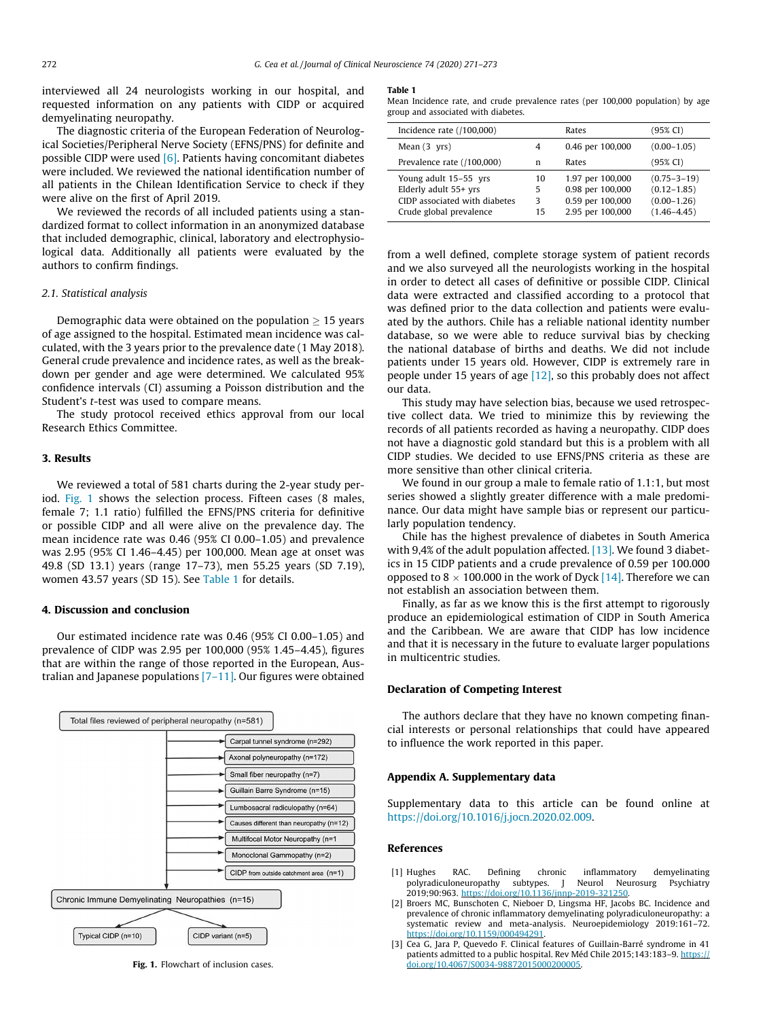<span id="page-1-0"></span>interviewed all 24 neurologists working in our hospital, and requested information on any patients with CIDP or acquired demyelinating neuropathy.

The diagnostic criteria of the European Federation of Neurological Societies/Peripheral Nerve Society (EFNS/PNS) for definite and possible CIDP were used [\[6\].](#page-2-0) Patients having concomitant diabetes were included. We reviewed the national identification number of all patients in the Chilean Identification Service to check if they were alive on the first of April 2019.

We reviewed the records of all included patients using a standardized format to collect information in an anonymized database that included demographic, clinical, laboratory and electrophysiological data. Additionally all patients were evaluated by the authors to confirm findings.

## 2.1. Statistical analysis

Demographic data were obtained on the population  $> 15$  years of age assigned to the hospital. Estimated mean incidence was calculated, with the 3 years prior to the prevalence date (1 May 2018). General crude prevalence and incidence rates, as well as the breakdown per gender and age were determined. We calculated 95% confidence intervals (CI) assuming a Poisson distribution and the Student's t-test was used to compare means.

The study protocol received ethics approval from our local Research Ethics Committee.

#### 3. Results

We reviewed a total of 581 charts during the 2-year study period. Fig. 1 shows the selection process. Fifteen cases (8 males, female 7; 1.1 ratio) fulfilled the EFNS/PNS criteria for definitive or possible CIDP and all were alive on the prevalence day. The mean incidence rate was 0.46 (95% CI 0.00–1.05) and prevalence was 2.95 (95% CI 1.46–4.45) per 100,000. Mean age at onset was 49.8 (SD 13.1) years (range 17–73), men 55.25 years (SD 7.19), women 43.57 years (SD 15). See Table 1 for details.

#### 4. Discussion and conclusion

Our estimated incidence rate was 0.46 (95% CI 0.00–1.05) and prevalence of CIDP was 2.95 per 100,000 (95% 1.45–4.45), figures that are within the range of those reported in the European, Australian and Japanese populations  $[7-11]$ . Our figures were obtained



Fig. 1. Flowchart of inclusion cases.

#### Table 1

Mean Incidence rate, and crude prevalence rates (per 100,000 population) by age group and associated with diabetes.

| Incidence rate $(100,000)$                                                                                 |                    | Rates                                                                        | (95% CI)                                                                   |
|------------------------------------------------------------------------------------------------------------|--------------------|------------------------------------------------------------------------------|----------------------------------------------------------------------------|
| Mean $(3 \text{ vrs})$                                                                                     | 4                  | 0.46 per 100,000                                                             | $(0.00 - 1.05)$                                                            |
| Prevalence rate (/100,000)                                                                                 | n                  | Rates                                                                        | (95% CI)                                                                   |
| Young adult 15-55 yrs<br>Elderly adult 55+ yrs<br>CIDP associated with diabetes<br>Crude global prevalence | 10<br>5<br>3<br>15 | 1.97 per 100,000<br>0.98 per 100,000<br>0.59 per 100,000<br>2.95 per 100,000 | $(0.75 - 3 - 19)$<br>$(0.12 - 1.85)$<br>$(0.00 - 1.26)$<br>$(1.46 - 4.45)$ |

from a well defined, complete storage system of patient records and we also surveyed all the neurologists working in the hospital in order to detect all cases of definitive or possible CIDP. Clinical data were extracted and classified according to a protocol that was defined prior to the data collection and patients were evaluated by the authors. Chile has a reliable national identity number database, so we were able to reduce survival bias by checking the national database of births and deaths. We did not include patients under 15 years old. However, CIDP is extremely rare in people under 15 years of age  $[12]$ , so this probably does not affect our data.

This study may have selection bias, because we used retrospective collect data. We tried to minimize this by reviewing the records of all patients recorded as having a neuropathy. CIDP does not have a diagnostic gold standard but this is a problem with all CIDP studies. We decided to use EFNS/PNS criteria as these are more sensitive than other clinical criteria.

We found in our group a male to female ratio of 1.1:1, but most series showed a slightly greater difference with a male predominance. Our data might have sample bias or represent our particularly population tendency.

Chile has the highest prevalence of diabetes in South America with 9,4% of the adult population affected. [\[13\].](#page-2-0) We found 3 diabetics in 15 CIDP patients and a crude prevalence of 0.59 per 100.000 opposed to 8  $\times$  100.000 in the work of Dyck [\[14\].](#page-2-0) Therefore we can not establish an association between them.

Finally, as far as we know this is the first attempt to rigorously produce an epidemiological estimation of CIDP in South America and the Caribbean. We are aware that CIDP has low incidence and that it is necessary in the future to evaluate larger populations in multicentric studies.

#### Declaration of Competing Interest

The authors declare that they have no known competing financial interests or personal relationships that could have appeared to influence the work reported in this paper.

#### Appendix A. Supplementary data

Supplementary data to this article can be found online at [https://doi.org/10.1016/j.jocn.2020.02.009.](https://doi.org/10.1016/j.jocn.2020.02.009)

#### References

- [1] Hughes RAC. Defining chronic inflammatory demyelinating polyradiculoneuropathy subtypes. J Neurol Neurosurg Psychiatry<br>2019:90:963. https://doi.org/10.1136/innp-2019-321250. 2019;90:963. <https://doi.org/10.1136/jnnp-2019-321250>.
- [2] Broers MC, Bunschoten C, Nieboer D, Lingsma HF, Jacobs BC. Incidence and prevalence of chronic inflammatory demyelinating polyradiculoneuropathy: a systematic review and meta-analysis. Neuroepidemiology 2019:161–72. <https://doi.org/10.1159/000494291>.
- [3] Cea G, Jara P, Quevedo F. Clinical features of Guillain-Barré syndrome in 41 patients admitted to a public hospital. Rev Méd Chile 2015;143:183-9. [https://](https://doi.org/10.4067/S0034-98872015000200005) [doi.org/10.4067/S0034-98872015000200005](https://doi.org/10.4067/S0034-98872015000200005).